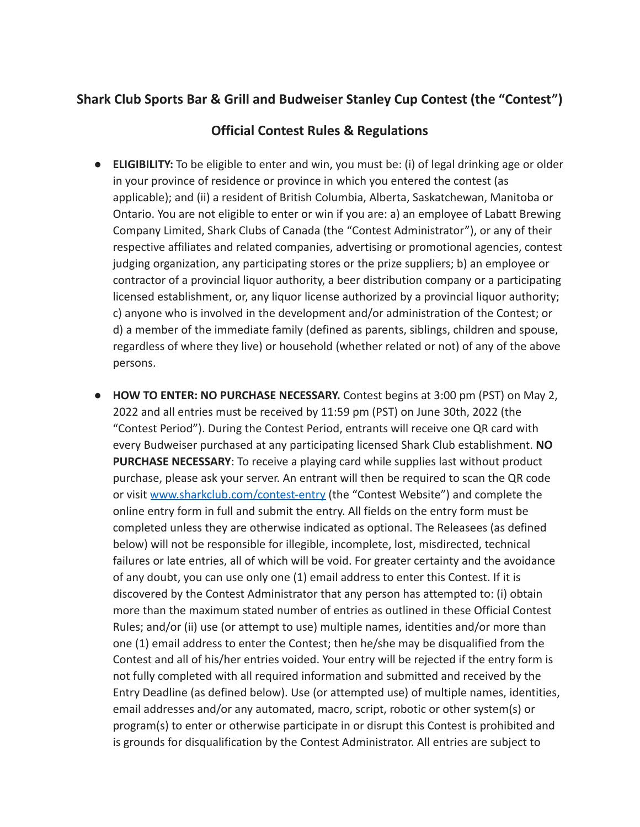## **Shark Club Sports Bar & Grill and Budweiser Stanley Cup Contest (the "Contest")**

## **Official Contest Rules & Regulations**

- **● ELIGIBILITY:** To be eligible to enter and win, you must be: (i) of legal drinking age or older in your province of residence or province in which you entered the contest (as applicable); and (ii) a resident of British Columbia, Alberta, Saskatchewan, Manitoba or Ontario. You are not eligible to enter or win if you are: a) an employee of Labatt Brewing Company Limited, Shark Clubs of Canada (the "Contest Administrator"), or any of their respective affiliates and related companies, advertising or promotional agencies, contest judging organization, any participating stores or the prize suppliers; b) an employee or contractor of a provincial liquor authority, a beer distribution company or a participating licensed establishment, or, any liquor license authorized by a provincial liquor authority; c) anyone who is involved in the development and/or administration of the Contest; or d) a member of the immediate family (defined as parents, siblings, children and spouse, regardless of where they live) or household (whether related or not) of any of the above persons.
- **● HOW TO ENTER: NO PURCHASE NECESSARY.** Contest begins at 3:00 pm (PST) on May 2, 2022 and all entries must be received by 11:59 pm (PST) on June 30th, 2022 (the "Contest Period"). During the Contest Period, entrants will receive one QR card with every Budweiser purchased at any participating licensed Shark Club establishment. **NO PURCHASE NECESSARY**: To receive a playing card while supplies last without product purchase, please ask your server. An entrant will then be required to scan the QR code or visit [www.sharkclub.com/contest-entry](http://www.sharkclub.com/contest-enrty) (the "Contest Website") and complete the online entry form in full and submit the entry. All fields on the entry form must be completed unless they are otherwise indicated as optional. The Releasees (as defined below) will not be responsible for illegible, incomplete, lost, misdirected, technical failures or late entries, all of which will be void. For greater certainty and the avoidance of any doubt, you can use only one (1) email address to enter this Contest. If it is discovered by the Contest Administrator that any person has attempted to: (i) obtain more than the maximum stated number of entries as outlined in these Official Contest Rules; and/or (ii) use (or attempt to use) multiple names, identities and/or more than one (1) email address to enter the Contest; then he/she may be disqualified from the Contest and all of his/her entries voided. Your entry will be rejected if the entry form is not fully completed with all required information and submitted and received by the Entry Deadline (as defined below). Use (or attempted use) of multiple names, identities, email addresses and/or any automated, macro, script, robotic or other system(s) or program(s) to enter or otherwise participate in or disrupt this Contest is prohibited and is grounds for disqualification by the Contest Administrator. All entries are subject to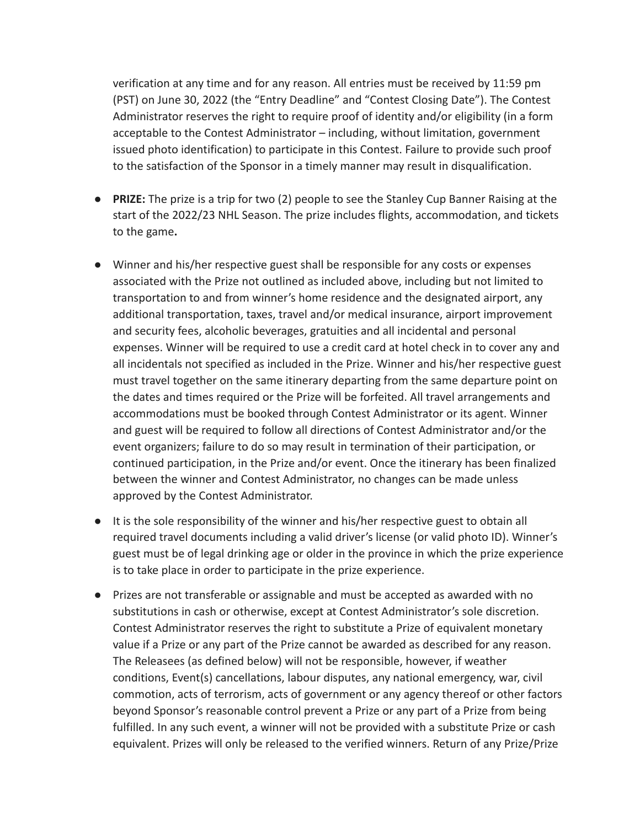verification at any time and for any reason. All entries must be received by 11:59 pm (PST) on June 30, 2022 (the "Entry Deadline" and "Contest Closing Date"). The Contest Administrator reserves the right to require proof of identity and/or eligibility (in a form acceptable to the Contest Administrator – including, without limitation, government issued photo identification) to participate in this Contest. Failure to provide such proof to the satisfaction of the Sponsor in a timely manner may result in disqualification.

- **PRIZE:** The prize is a trip for two (2) people to see the Stanley Cup Banner Raising at the start of the 2022/23 NHL Season. The prize includes flights, accommodation, and tickets to the game**.**
- Winner and his/her respective guest shall be responsible for any costs or expenses associated with the Prize not outlined as included above, including but not limited to transportation to and from winner's home residence and the designated airport, any additional transportation, taxes, travel and/or medical insurance, airport improvement and security fees, alcoholic beverages, gratuities and all incidental and personal expenses. Winner will be required to use a credit card at hotel check in to cover any and all incidentals not specified as included in the Prize. Winner and his/her respective guest must travel together on the same itinerary departing from the same departure point on the dates and times required or the Prize will be forfeited. All travel arrangements and accommodations must be booked through Contest Administrator or its agent. Winner and guest will be required to follow all directions of Contest Administrator and/or the event organizers; failure to do so may result in termination of their participation, or continued participation, in the Prize and/or event. Once the itinerary has been finalized between the winner and Contest Administrator, no changes can be made unless approved by the Contest Administrator.
- It is the sole responsibility of the winner and his/her respective guest to obtain all required travel documents including a valid driver's license (or valid photo ID). Winner's guest must be of legal drinking age or older in the province in which the prize experience is to take place in order to participate in the prize experience.
- Prizes are not transferable or assignable and must be accepted as awarded with no substitutions in cash or otherwise, except at Contest Administrator's sole discretion. Contest Administrator reserves the right to substitute a Prize of equivalent monetary value if a Prize or any part of the Prize cannot be awarded as described for any reason. The Releasees (as defined below) will not be responsible, however, if weather conditions, Event(s) cancellations, labour disputes, any national emergency, war, civil commotion, acts of terrorism, acts of government or any agency thereof or other factors beyond Sponsor's reasonable control prevent a Prize or any part of a Prize from being fulfilled. In any such event, a winner will not be provided with a substitute Prize or cash equivalent. Prizes will only be released to the verified winners. Return of any Prize/Prize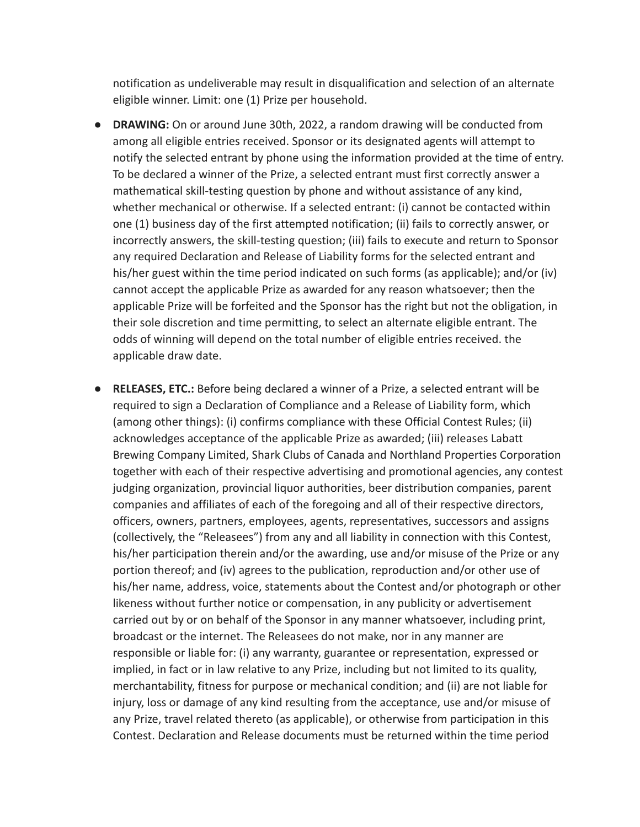notification as undeliverable may result in disqualification and selection of an alternate eligible winner. Limit: one (1) Prize per household.

- **● DRAWING:** On or around June 30th, 2022, a random drawing will be conducted from among all eligible entries received. Sponsor or its designated agents will attempt to notify the selected entrant by phone using the information provided at the time of entry. To be declared a winner of the Prize, a selected entrant must first correctly answer a mathematical skill-testing question by phone and without assistance of any kind, whether mechanical or otherwise. If a selected entrant: (i) cannot be contacted within one (1) business day of the first attempted notification; (ii) fails to correctly answer, or incorrectly answers, the skill-testing question; (iii) fails to execute and return to Sponsor any required Declaration and Release of Liability forms for the selected entrant and his/her guest within the time period indicated on such forms (as applicable); and/or (iv) cannot accept the applicable Prize as awarded for any reason whatsoever; then the applicable Prize will be forfeited and the Sponsor has the right but not the obligation, in their sole discretion and time permitting, to select an alternate eligible entrant. The odds of winning will depend on the total number of eligible entries received. the applicable draw date.
- **● RELEASES, ETC.:** Before being declared a winner of a Prize, a selected entrant will be required to sign a Declaration of Compliance and a Release of Liability form, which (among other things): (i) confirms compliance with these Official Contest Rules; (ii) acknowledges acceptance of the applicable Prize as awarded; (iii) releases Labatt Brewing Company Limited, Shark Clubs of Canada and Northland Properties Corporation together with each of their respective advertising and promotional agencies, any contest judging organization, provincial liquor authorities, beer distribution companies, parent companies and affiliates of each of the foregoing and all of their respective directors, officers, owners, partners, employees, agents, representatives, successors and assigns (collectively, the "Releasees") from any and all liability in connection with this Contest, his/her participation therein and/or the awarding, use and/or misuse of the Prize or any portion thereof; and (iv) agrees to the publication, reproduction and/or other use of his/her name, address, voice, statements about the Contest and/or photograph or other likeness without further notice or compensation, in any publicity or advertisement carried out by or on behalf of the Sponsor in any manner whatsoever, including print, broadcast or the internet. The Releasees do not make, nor in any manner are responsible or liable for: (i) any warranty, guarantee or representation, expressed or implied, in fact or in law relative to any Prize, including but not limited to its quality, merchantability, fitness for purpose or mechanical condition; and (ii) are not liable for injury, loss or damage of any kind resulting from the acceptance, use and/or misuse of any Prize, travel related thereto (as applicable), or otherwise from participation in this Contest. Declaration and Release documents must be returned within the time period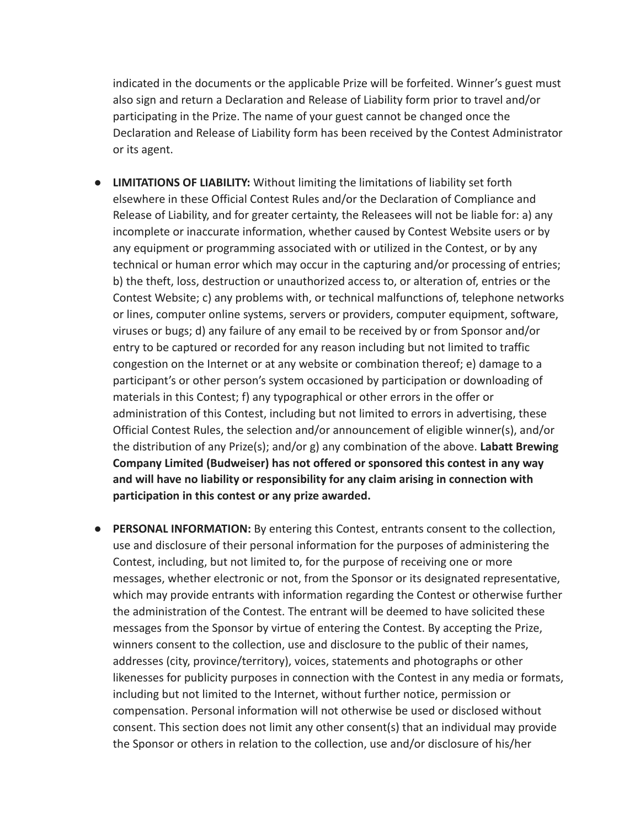indicated in the documents or the applicable Prize will be forfeited. Winner's guest must also sign and return a Declaration and Release of Liability form prior to travel and/or participating in the Prize. The name of your guest cannot be changed once the Declaration and Release of Liability form has been received by the Contest Administrator or its agent.

- **● LIMITATIONS OF LIABILITY:** Without limiting the limitations of liability set forth elsewhere in these Official Contest Rules and/or the Declaration of Compliance and Release of Liability, and for greater certainty, the Releasees will not be liable for: a) any incomplete or inaccurate information, whether caused by Contest Website users or by any equipment or programming associated with or utilized in the Contest, or by any technical or human error which may occur in the capturing and/or processing of entries; b) the theft, loss, destruction or unauthorized access to, or alteration of, entries or the Contest Website; c) any problems with, or technical malfunctions of, telephone networks or lines, computer online systems, servers or providers, computer equipment, software, viruses or bugs; d) any failure of any email to be received by or from Sponsor and/or entry to be captured or recorded for any reason including but not limited to traffic congestion on the Internet or at any website or combination thereof; e) damage to a participant's or other person's system occasioned by participation or downloading of materials in this Contest; f) any typographical or other errors in the offer or administration of this Contest, including but not limited to errors in advertising, these Official Contest Rules, the selection and/or announcement of eligible winner(s), and/or the distribution of any Prize(s); and/or g) any combination of the above. **Labatt Brewing Company Limited (Budweiser) has not offered or sponsored this contest in any way and will have no liability or responsibility for any claim arising in connection with participation in this contest or any prize awarded.**
- **● PERSONAL INFORMATION:** By entering this Contest, entrants consent to the collection, use and disclosure of their personal information for the purposes of administering the Contest, including, but not limited to, for the purpose of receiving one or more messages, whether electronic or not, from the Sponsor or its designated representative, which may provide entrants with information regarding the Contest or otherwise further the administration of the Contest. The entrant will be deemed to have solicited these messages from the Sponsor by virtue of entering the Contest. By accepting the Prize, winners consent to the collection, use and disclosure to the public of their names, addresses (city, province/territory), voices, statements and photographs or other likenesses for publicity purposes in connection with the Contest in any media or formats, including but not limited to the Internet, without further notice, permission or compensation. Personal information will not otherwise be used or disclosed without consent. This section does not limit any other consent(s) that an individual may provide the Sponsor or others in relation to the collection, use and/or disclosure of his/her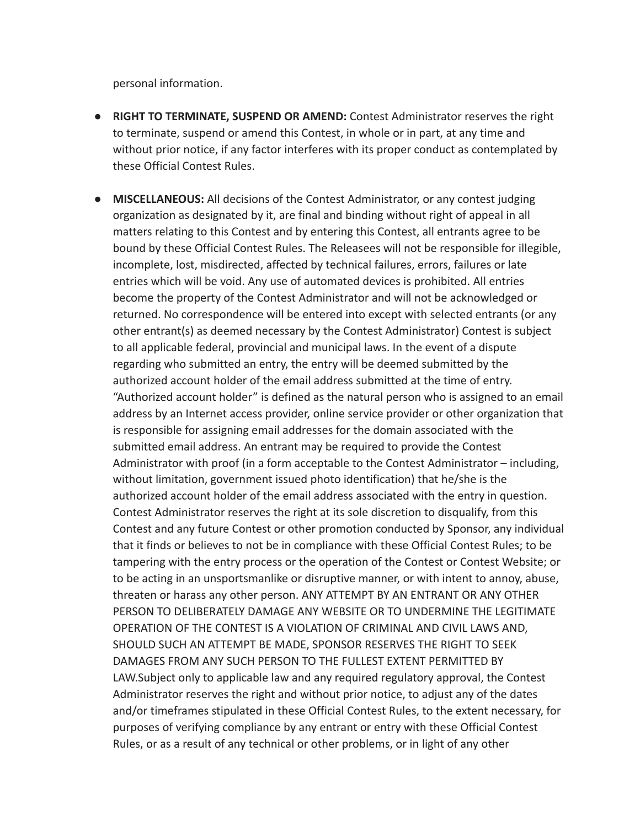personal information.

- **● RIGHT TO TERMINATE, SUSPEND OR AMEND:** Contest Administrator reserves the right to terminate, suspend or amend this Contest, in whole or in part, at any time and without prior notice, if any factor interferes with its proper conduct as contemplated by these Official Contest Rules.
- **● MISCELLANEOUS:** All decisions of the Contest Administrator, or any contest judging organization as designated by it, are final and binding without right of appeal in all matters relating to this Contest and by entering this Contest, all entrants agree to be bound by these Official Contest Rules. The Releasees will not be responsible for illegible, incomplete, lost, misdirected, affected by technical failures, errors, failures or late entries which will be void. Any use of automated devices is prohibited. All entries become the property of the Contest Administrator and will not be acknowledged or returned. No correspondence will be entered into except with selected entrants (or any other entrant(s) as deemed necessary by the Contest Administrator) Contest is subject to all applicable federal, provincial and municipal laws. In the event of a dispute regarding who submitted an entry, the entry will be deemed submitted by the authorized account holder of the email address submitted at the time of entry. "Authorized account holder" is defined as the natural person who is assigned to an email address by an Internet access provider, online service provider or other organization that is responsible for assigning email addresses for the domain associated with the submitted email address. An entrant may be required to provide the Contest Administrator with proof (in a form acceptable to the Contest Administrator – including, without limitation, government issued photo identification) that he/she is the authorized account holder of the email address associated with the entry in question. Contest Administrator reserves the right at its sole discretion to disqualify, from this Contest and any future Contest or other promotion conducted by Sponsor, any individual that it finds or believes to not be in compliance with these Official Contest Rules; to be tampering with the entry process or the operation of the Contest or Contest Website; or to be acting in an unsportsmanlike or disruptive manner, or with intent to annoy, abuse, threaten or harass any other person. ANY ATTEMPT BY AN ENTRANT OR ANY OTHER PERSON TO DELIBERATELY DAMAGE ANY WEBSITE OR TO UNDERMINE THE LEGITIMATE OPERATION OF THE CONTEST IS A VIOLATION OF CRIMINAL AND CIVIL LAWS AND, SHOULD SUCH AN ATTEMPT BE MADE, SPONSOR RESERVES THE RIGHT TO SEEK DAMAGES FROM ANY SUCH PERSON TO THE FULLEST EXTENT PERMITTED BY LAW.Subject only to applicable law and any required regulatory approval, the Contest Administrator reserves the right and without prior notice, to adjust any of the dates and/or timeframes stipulated in these Official Contest Rules, to the extent necessary, for purposes of verifying compliance by any entrant or entry with these Official Contest Rules, or as a result of any technical or other problems, or in light of any other